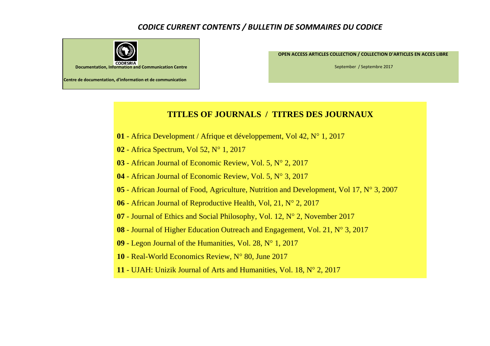## *CODICE CURRENT CONTENTS / BULLETIN DE SOMMAIRES DU CODICE*



**OPEN ACCESS ARTICLES COLLECTION / COLLECTION D'ARTICLES EN ACCES LIBRE** 

September / Septembre 2017

## **TITLES OF JOURNALS / TITRES DES JOURNAUX**

- Africa Development / Afrique et développement, Vol 42, N° 1, 2017
- Africa Spectrum, Vol 52, N° 1, 2017
- African Journal of Economic Review, Vol. 5, N° 2, 2017
- African Journal of Economic Review, Vol. 5, N° 3, 2017
- African Journal of Food, Agriculture, Nutrition and Development, Vol 17, N° 3, 2007
- African Journal of Reproductive Health, Vol, 21, N° 2, 2017
- Journal of Ethics and Social Philosophy, Vol. 12, N° 2, November 2017
- Journal of Higher Education Outreach and Engagement, Vol. 21, N° 3, 2017
- Legon Journal of the Humanities, Vol. 28, N° 1, 2017
- Real-World Economics Review, N° 80, June 2017
- UJAH: Unizik Journal of Arts and Humanities, Vol. 18, N° 2, 2017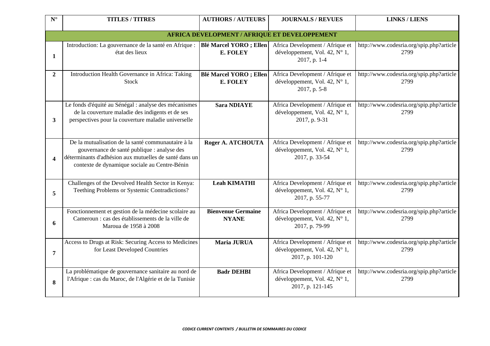| $N^{\circ}$           | <b>TITLES / TITRES</b>                                                                                                                                                                                       | <b>AUTHORS / AUTEURS</b>                             | <b>JOURNALS / REVUES</b>                                                             | <b>LINKS / LIENS</b>                             |
|-----------------------|--------------------------------------------------------------------------------------------------------------------------------------------------------------------------------------------------------------|------------------------------------------------------|--------------------------------------------------------------------------------------|--------------------------------------------------|
|                       |                                                                                                                                                                                                              | <b>AFRICA DEVELOPMENT / AFRIQUE ET DEVELOPPEMENT</b> |                                                                                      |                                                  |
| 1                     | Introduction: La gouvernance de la santé en Afrique :<br>état des lieux                                                                                                                                      | <b>Blé Marcel YORO</b> ; Ellen<br>E. FOLEY           | Africa Development / Afrique et<br>développement, Vol. 42, N° 1,<br>2017, p. 1-4     | http://www.codesria.org/spip.php?article<br>2799 |
| $\overline{2}$        | Introduction Health Governance in Africa: Taking<br><b>Stock</b>                                                                                                                                             | <b>Blé Marcel YORO</b> ; Ellen<br>E. FOLEY           | Africa Development / Afrique et<br>développement, Vol. 42, N° 1,<br>2017, p. 5-8     | http://www.codesria.org/spip.php?article<br>2799 |
| $\mathbf{3}$          | Le fonds d'équité au Sénégal : analyse des mécanismes<br>de la couverture maladie des indigents et de ses<br>perspectives pour la couverture maladie universelle                                             | <b>Sara NDIAYE</b>                                   | Africa Development / Afrique et<br>développement, Vol. 42, N° 1,<br>2017, p. 9-31    | http://www.codesria.org/spip.php?article<br>2799 |
| $\boldsymbol{\Delta}$ | De la mutualisation de la santé communautaire à la<br>gouvernance de santé publique : analyse des<br>déterminants d'adhésion aux mutuelles de santé dans un<br>contexte de dynamique sociale au Centre-Bénin | Roger A. ATCHOUTA                                    | Africa Development / Afrique et<br>développement, Vol. 42, N° 1,<br>2017, p. 33-54   | http://www.codesria.org/spip.php?article<br>2799 |
| 5                     | Challenges of the Devolved Health Sector in Kenya:<br>Teething Problems or Systemic Contradictions?                                                                                                          | <b>Leah KIMATHI</b>                                  | Africa Development / Afrique et<br>développement, Vol. 42, N° 1,<br>2017, p. 55-77   | http://www.codesria.org/spip.php?article<br>2799 |
| 6                     | Fonctionnement et gestion de la médecine scolaire au<br>Cameroun : cas des établissements de la ville de<br>Maroua de 1958 à 2008                                                                            | <b>Bienvenue Germaine</b><br><b>NYANE</b>            | Africa Development / Afrique et<br>développement, Vol. 42, N° 1,<br>2017, p. 79-99   | http://www.codesria.org/spip.php?article<br>2799 |
| $\overline{7}$        | Access to Drugs at Risk: Securing Access to Medicines<br>for Least Developed Countries                                                                                                                       | Maria JURUA                                          | Africa Development / Afrique et<br>développement, Vol. 42, N° 1,<br>2017, p. 101-120 | http://www.codesria.org/spip.php?article<br>2799 |
| 8                     | La problématique de gouvernance sanitaire au nord de<br>l'Afrique : cas du Maroc, de l'Algérie et de la Tunisie                                                                                              | <b>Badr DEHBI</b>                                    | Africa Development / Afrique et<br>développement, Vol. 42, N° 1,<br>2017, p. 121-145 | http://www.codesria.org/spip.php?article<br>2799 |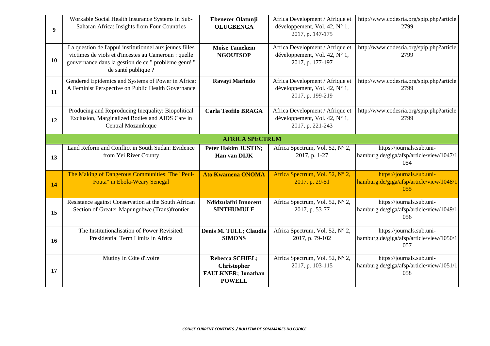| 9 <sup>°</sup> | Workable Social Health Insurance Systems in Sub-<br>Saharan Africa: Insights from Four Countries                                                                                               | <b>Ebenezer Olatunji</b><br><b>OLUGBENGA</b>                                        | Africa Development / Afrique et<br>développement, Vol. 42, N° 1,<br>2017, p. 147-175 | http://www.codesria.org/spip.php?article<br>2799                             |
|----------------|------------------------------------------------------------------------------------------------------------------------------------------------------------------------------------------------|-------------------------------------------------------------------------------------|--------------------------------------------------------------------------------------|------------------------------------------------------------------------------|
| 10             | La question de l'appui institutionnel aux jeunes filles<br>victimes de viols et d'incestes au Cameroun : quelle<br>gouvernance dans la gestion de ce " problème genré "<br>de santé publique ? | <b>Moise Tamekem</b><br><b>NGOUTSOP</b>                                             | Africa Development / Afrique et<br>développement, Vol. 42, N° 1,<br>2017, p. 177-197 | http://www.codesria.org/spip.php?article<br>2799                             |
| 11             | Gendered Epidemics and Systems of Power in Africa:<br>A Feminist Perspective on Public Health Governance                                                                                       | Ravayi Marindo                                                                      | Africa Development / Afrique et<br>développement, Vol. 42, N° 1,<br>2017, p. 199-219 | http://www.codesria.org/spip.php?article<br>2799                             |
| 12             | Producing and Reproducing Inequality: Biopolitical<br>Exclusion, Marginalized Bodies and AIDS Care in<br>Central Mozambique                                                                    | <b>Carla Teofilo BRAGA</b>                                                          | Africa Development / Afrique et<br>développement, Vol. 42, N° 1,<br>2017, p. 221-243 | http://www.codesria.org/spip.php?article<br>2799                             |
|                |                                                                                                                                                                                                | <b>AFRICA SPECTRUM</b>                                                              |                                                                                      |                                                                              |
| 13             | Land Reform and Conflict in South Sudan: Evidence<br>from Yei River County                                                                                                                     | <b>Peter Hakim JUSTIN;</b><br>Han van DIJK                                          | Africa Spectrum, Vol. 52, N° 2,<br>2017, p. 1-27                                     | https://journals.sub.uni-<br>hamburg.de/giga/afsp/article/view/1047/1<br>054 |
| 14             | The Making of Dangerous Communities: The "Peul-<br>Fouta" in Ebola-Weary Senegal                                                                                                               | <b>Ato Kwamena ONOMA</b>                                                            | Africa Spectrum, Vol. 52, N° 2,<br>2017, p. 29-51                                    | https://journals.sub.uni-<br>hamburg.de/giga/afsp/article/view/1048/1<br>055 |
| 15             | Resistance against Conservation at the South African<br>Section of Greater Mapungubwe (Trans)frontier                                                                                          | Ndidzulafhi Innocent<br><b>SINTHUMULE</b>                                           | Africa Spectrum, Vol. 52, N° 2,<br>2017, p. 53-77                                    | https://journals.sub.uni-<br>hamburg.de/giga/afsp/article/view/1049/1<br>056 |
| 16             | The Institutionalisation of Power Revisited:<br>Presidential Term Limits in Africa                                                                                                             | Denis M. TULL; Claudia<br><b>SIMONS</b>                                             | Africa Spectrum, Vol. 52, N° 2,<br>2017, p. 79-102                                   | https://journals.sub.uni-<br>hamburg.de/giga/afsp/article/view/1050/1<br>057 |
| 17             | Mutiny in Côte d'Ivoire                                                                                                                                                                        | Rebecca SCHIEL;<br><b>Christopher</b><br><b>FAULKNER; Jonathan</b><br><b>POWELL</b> | Africa Spectrum, Vol. 52, N° 2,<br>2017, p. 103-115                                  | https://journals.sub.uni-<br>hamburg.de/giga/afsp/article/view/1051/1<br>058 |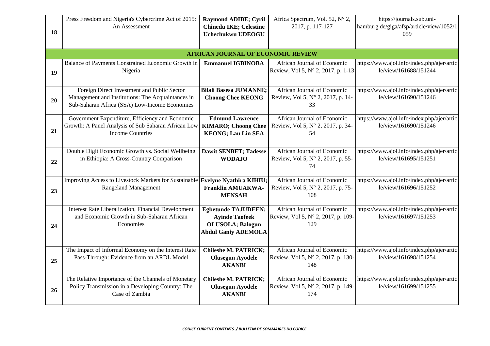| <b>Chinedu IKE; Celestine</b><br>2017, p. 117-127<br>hamburg.de/giga/afsp/article/view/1052/1<br>An Assessment<br>18<br>Uchechukwu UDEOGU<br>059<br><b>AFRICAN JOURNAL OF ECONOMIC REVIEW</b><br>Balance of Payments Constrained Economic Growth in<br>https://www.ajol.info/index.php/ajer/artic<br><b>Emmanuel IGBINOBA</b><br>African Journal of Economic<br>Review, Vol 5, N° 2, 2017, p. 1-13<br>le/view/161688/151244<br>Nigeria<br>19<br>African Journal of Economic<br>Foreign Direct Investment and Public Sector<br><b>Bilali Basesa JUMANNE;</b><br>https://www.ajol.info/index.php/ajer/artic<br>Management and Institutions: The Acquaintances in<br>Review, Vol 5, N° 2, 2017, p. 14-<br>le/view/161690/151246<br><b>Choong Chee KEONG</b><br>20<br>Sub-Saharan Africa (SSA) Low-Income Economies<br>33<br>Government Expenditure, Efficiency and Economic<br><b>Edmund Lawrence</b><br>African Journal of Economic<br>https://www.ajol.info/index.php/ajer/artic<br>Growth: A Panel Analysis of Sub Saharan African Low<br><b>KIMARO; Choong Chee</b><br>Review, Vol 5, N° 2, 2017, p. 34-<br>le/view/161690/151246 |  |
|------------------------------------------------------------------------------------------------------------------------------------------------------------------------------------------------------------------------------------------------------------------------------------------------------------------------------------------------------------------------------------------------------------------------------------------------------------------------------------------------------------------------------------------------------------------------------------------------------------------------------------------------------------------------------------------------------------------------------------------------------------------------------------------------------------------------------------------------------------------------------------------------------------------------------------------------------------------------------------------------------------------------------------------------------------------------------------------------------------------------------------|--|
|                                                                                                                                                                                                                                                                                                                                                                                                                                                                                                                                                                                                                                                                                                                                                                                                                                                                                                                                                                                                                                                                                                                                    |  |
|                                                                                                                                                                                                                                                                                                                                                                                                                                                                                                                                                                                                                                                                                                                                                                                                                                                                                                                                                                                                                                                                                                                                    |  |
|                                                                                                                                                                                                                                                                                                                                                                                                                                                                                                                                                                                                                                                                                                                                                                                                                                                                                                                                                                                                                                                                                                                                    |  |
|                                                                                                                                                                                                                                                                                                                                                                                                                                                                                                                                                                                                                                                                                                                                                                                                                                                                                                                                                                                                                                                                                                                                    |  |
|                                                                                                                                                                                                                                                                                                                                                                                                                                                                                                                                                                                                                                                                                                                                                                                                                                                                                                                                                                                                                                                                                                                                    |  |
|                                                                                                                                                                                                                                                                                                                                                                                                                                                                                                                                                                                                                                                                                                                                                                                                                                                                                                                                                                                                                                                                                                                                    |  |
|                                                                                                                                                                                                                                                                                                                                                                                                                                                                                                                                                                                                                                                                                                                                                                                                                                                                                                                                                                                                                                                                                                                                    |  |
|                                                                                                                                                                                                                                                                                                                                                                                                                                                                                                                                                                                                                                                                                                                                                                                                                                                                                                                                                                                                                                                                                                                                    |  |
|                                                                                                                                                                                                                                                                                                                                                                                                                                                                                                                                                                                                                                                                                                                                                                                                                                                                                                                                                                                                                                                                                                                                    |  |
|                                                                                                                                                                                                                                                                                                                                                                                                                                                                                                                                                                                                                                                                                                                                                                                                                                                                                                                                                                                                                                                                                                                                    |  |
|                                                                                                                                                                                                                                                                                                                                                                                                                                                                                                                                                                                                                                                                                                                                                                                                                                                                                                                                                                                                                                                                                                                                    |  |
|                                                                                                                                                                                                                                                                                                                                                                                                                                                                                                                                                                                                                                                                                                                                                                                                                                                                                                                                                                                                                                                                                                                                    |  |
|                                                                                                                                                                                                                                                                                                                                                                                                                                                                                                                                                                                                                                                                                                                                                                                                                                                                                                                                                                                                                                                                                                                                    |  |
| 21<br><b>Income Countries</b><br><b>KEONG; Lau Lin SEA</b><br>54                                                                                                                                                                                                                                                                                                                                                                                                                                                                                                                                                                                                                                                                                                                                                                                                                                                                                                                                                                                                                                                                   |  |
|                                                                                                                                                                                                                                                                                                                                                                                                                                                                                                                                                                                                                                                                                                                                                                                                                                                                                                                                                                                                                                                                                                                                    |  |
| Double Digit Economic Growth vs. Social Wellbeing<br>African Journal of Economic<br>https://www.ajol.info/index.php/ajer/artic<br><b>Dawit SENBET; Tadesse</b>                                                                                                                                                                                                                                                                                                                                                                                                                                                                                                                                                                                                                                                                                                                                                                                                                                                                                                                                                                     |  |
| in Ethiopia: A Cross-Country Comparison<br>le/view/161695/151251<br><b>WODAJO</b><br>Review, Vol 5, N° 2, 2017, p. 55-<br>22                                                                                                                                                                                                                                                                                                                                                                                                                                                                                                                                                                                                                                                                                                                                                                                                                                                                                                                                                                                                       |  |
| 74                                                                                                                                                                                                                                                                                                                                                                                                                                                                                                                                                                                                                                                                                                                                                                                                                                                                                                                                                                                                                                                                                                                                 |  |
| Improving Access to Livestock Markets for Sustainable Evelyne Nyathira KIHIU;<br>African Journal of Economic<br>https://www.ajol.info/index.php/ajer/artic                                                                                                                                                                                                                                                                                                                                                                                                                                                                                                                                                                                                                                                                                                                                                                                                                                                                                                                                                                         |  |
| <b>Franklin AMUAKWA-</b><br>Review, Vol 5, N° 2, 2017, p. 75-<br>le/view/161696/151252<br><b>Rangeland Management</b>                                                                                                                                                                                                                                                                                                                                                                                                                                                                                                                                                                                                                                                                                                                                                                                                                                                                                                                                                                                                              |  |
| 23<br>108<br><b>MENSAH</b>                                                                                                                                                                                                                                                                                                                                                                                                                                                                                                                                                                                                                                                                                                                                                                                                                                                                                                                                                                                                                                                                                                         |  |
|                                                                                                                                                                                                                                                                                                                                                                                                                                                                                                                                                                                                                                                                                                                                                                                                                                                                                                                                                                                                                                                                                                                                    |  |
| <b>Interest Rate Liberalization, Financial Development</b><br>African Journal of Economic<br>https://www.ajol.info/index.php/ajer/artic<br><b>Egbetunde TAJUDEEN;</b>                                                                                                                                                                                                                                                                                                                                                                                                                                                                                                                                                                                                                                                                                                                                                                                                                                                                                                                                                              |  |
| and Economic Growth in Sub-Saharan African<br>Review, Vol 5, N° 2, 2017, p. 109-<br>le/view/161697/151253<br><b>Ayinde Taofeek</b>                                                                                                                                                                                                                                                                                                                                                                                                                                                                                                                                                                                                                                                                                                                                                                                                                                                                                                                                                                                                 |  |
| Economies<br><b>OLUSOLA</b> ; Balogun<br>129<br>24                                                                                                                                                                                                                                                                                                                                                                                                                                                                                                                                                                                                                                                                                                                                                                                                                                                                                                                                                                                                                                                                                 |  |
| <b>Abdul Ganiy ADEMOLA</b>                                                                                                                                                                                                                                                                                                                                                                                                                                                                                                                                                                                                                                                                                                                                                                                                                                                                                                                                                                                                                                                                                                         |  |
|                                                                                                                                                                                                                                                                                                                                                                                                                                                                                                                                                                                                                                                                                                                                                                                                                                                                                                                                                                                                                                                                                                                                    |  |
| The Impact of Informal Economy on the Interest Rate<br>African Journal of Economic<br>https://www.ajol.info/index.php/ajer/artic<br><b>Chileshe M. PATRICK;</b>                                                                                                                                                                                                                                                                                                                                                                                                                                                                                                                                                                                                                                                                                                                                                                                                                                                                                                                                                                    |  |
| Pass-Through: Evidence from an ARDL Model<br>Review, Vol 5, N° 2, 2017, p. 130-<br>le/view/161698/151254<br><b>Olusegun Ayodele</b><br>25                                                                                                                                                                                                                                                                                                                                                                                                                                                                                                                                                                                                                                                                                                                                                                                                                                                                                                                                                                                          |  |
| 148<br><b>AKANBI</b>                                                                                                                                                                                                                                                                                                                                                                                                                                                                                                                                                                                                                                                                                                                                                                                                                                                                                                                                                                                                                                                                                                               |  |
| The Relative Importance of the Channels of Monetary<br>African Journal of Economic                                                                                                                                                                                                                                                                                                                                                                                                                                                                                                                                                                                                                                                                                                                                                                                                                                                                                                                                                                                                                                                 |  |
| <b>Chileshe M. PATRICK;</b><br>https://www.ajol.info/index.php/ajer/artic<br>Policy Transmission in a Developing Country: The<br>Review, Vol 5, N° 2, 2017, p. 149-<br>le/view/161699/151255                                                                                                                                                                                                                                                                                                                                                                                                                                                                                                                                                                                                                                                                                                                                                                                                                                                                                                                                       |  |
| <b>Olusegun Ayodele</b><br>26<br>Case of Zambia<br>174<br><b>AKANBI</b>                                                                                                                                                                                                                                                                                                                                                                                                                                                                                                                                                                                                                                                                                                                                                                                                                                                                                                                                                                                                                                                            |  |
|                                                                                                                                                                                                                                                                                                                                                                                                                                                                                                                                                                                                                                                                                                                                                                                                                                                                                                                                                                                                                                                                                                                                    |  |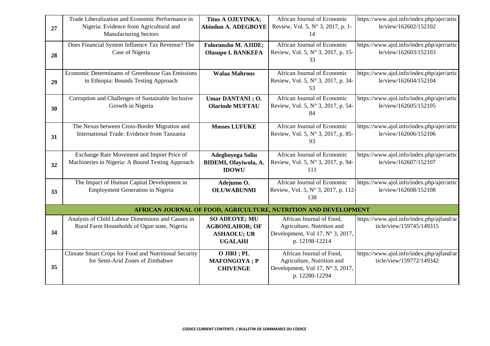|    | Trade Liberalization and Economic Performance in                                                  | <b>Titus A OJEYINKA;</b>                                                              | African Journal of Economic                                                                                  | https://www.ajol.info/index.php/ajer/artic                            |
|----|---------------------------------------------------------------------------------------------------|---------------------------------------------------------------------------------------|--------------------------------------------------------------------------------------------------------------|-----------------------------------------------------------------------|
| 27 | Nigeria: Evidence from Agricultural and<br><b>Manufacturing Sectors</b>                           | <b>Abiodun A. ADEGBOYE</b>                                                            | Review, Vol. 5, N° 3, 2017, p. 1-<br>14                                                                      | le/view/162602/152102                                                 |
| 28 | Does Financial System Influence Tax Revenue? The<br>Case of Nigeria                               | <b>Folorunsho M. AJIDE;</b><br><b>Olasupo I. BANKEFA</b>                              | African Journal of Economic<br>Review, Vol. 5, N° 3, 2017, p. 15-<br>33                                      | https://www.ajol.info/index.php/ajer/artic<br>le/view/162603/152103   |
| 29 | Economic Determinants of Greenhouse Gas Emissions<br>in Ethiopia: Bounds Testing Approach         | <b>Walaa Mahrous</b>                                                                  | African Journal of Economic<br>Review, Vol. 5, N° 3, 2017, p. 34-<br>53                                      | https://www.ajol.info/index.php/ajer/artic<br>le/view/162604/152104   |
| 30 | Corruption and Challenges of Sustainable Inclusive<br>Growth in Nigeria                           | Umar DANTANI; O.<br><b>Olarinde MUFTAU</b>                                            | African Journal of Economic<br>Review, Vol. 5, N° 3, 2017, p. 54-<br>84                                      | https://www.ajol.info/index.php/ajer/artic<br>le/view/162605/152105   |
| 31 | The Nexus between Cross-Border Migration and<br>International Trade: Evidence from Tanzania       | <b>Mosses LUFUKE</b>                                                                  | African Journal of Economic<br>Review, Vol. 5, N° 3, 2017, p. 85-<br>93                                      | https://www.ajol.info/index.php/ajer/artic<br>le/view/162606/152106   |
| 32 | Exchange Rate Movement and Import Price of<br>Machineries in Nigeria: A Bound Testing Approach    | Adegboyega Soliu<br>BIDEMI, Olayiwola, A.<br><b>IDOWU</b>                             | African Journal of Economic<br>Review, Vol. 5, N° 3, 2017, p. 94-<br>111                                     | https://www.ajol.info/index.php/ajer/artic<br>le/view/162607/152107   |
| 33 | The Impact of Human Capital Development in<br><b>Employment Generation in Nigeria</b>             | Adejumo O.<br><b>OLUWABUNMI</b>                                                       | African Journal of Economic<br>Review, Vol. 5, N° 3, 2017, p. 112-<br>138                                    | https://www.ajol.info/index.php/ajer/artic<br>le/view/162608/152108   |
|    |                                                                                                   |                                                                                       | AFRICAN JOURNAL OF FOOD, AGRICULTURE, NUTRITION AND DEVELOPMENT                                              |                                                                       |
| 34 | Analysis of Child Labour Dimensions and Causes in<br>Rural Farm Households of Ogun state, Nigeria | <b>SO ADEOYE; MU</b><br><b>AGBONLAHOR; OF</b><br><b>ASHAOLU; UB</b><br><b>UGALAHI</b> | African Journal of Food,<br>Agriculture, Nutrition and<br>Development, Vol 17, N° 3, 2017,<br>p. 12198-12214 | https://www.ajol.info/index.php/ajfand/ar<br>ticle/view/159745/149315 |
| 35 | Climate Smart Crops for Food and Nutritional Security<br>for Semi-Arid Zones of Zimbabwe          | O JIRI ; PL<br><b>MAFONGOYA</b> ; P<br><b>CHIVENGE</b>                                | African Journal of Food,<br>Agriculture, Nutrition and<br>Development, Vol 17, N° 3, 2017,<br>p. 12280-12294 | https://www.ajol.info/index.php/ajfand/ar<br>ticle/view/159772/149342 |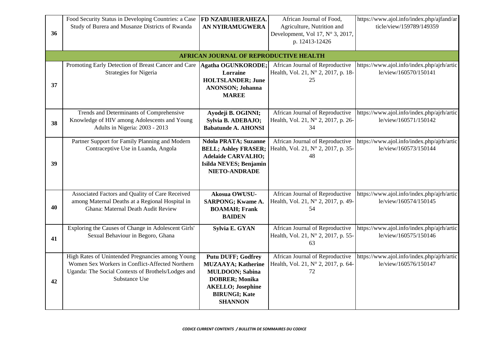| 36 | Food Security Status in Developing Countries: a Case<br>Study of Burera and Musanze Districts of Rwanda                                                                    | FD NZABUHERAHEZA.<br><b>AN NYIRAMUGWERA</b>                                                                                                                                      | African Journal of Food,<br>Agriculture, Nutrition and<br>Development, Vol 17, N° 3, 2017,<br>p. 12413-12426 | https://www.ajol.info/index.php/ajfand/ar<br>ticle/view/159789/149359 |
|----|----------------------------------------------------------------------------------------------------------------------------------------------------------------------------|----------------------------------------------------------------------------------------------------------------------------------------------------------------------------------|--------------------------------------------------------------------------------------------------------------|-----------------------------------------------------------------------|
|    |                                                                                                                                                                            | <b>AFRICAN JOURNAL OF REPRODUCTIVE HEALTH</b>                                                                                                                                    |                                                                                                              |                                                                       |
| 37 | Promoting Early Detection of Breast Cancer and Care<br>Strategies for Nigeria                                                                                              | <b>Agatha OGUNKORODE;</b><br>Lorraine<br><b>HOLTSLANDER; June</b><br><b>ANONSON; Johanna</b><br><b>MAREE</b>                                                                     | African Journal of Reproductive<br>Health, Vol. 21, N° 2, 2017, p. 18-<br>25                                 | https://www.ajol.info/index.php/ajrh/artic<br>le/view/160570/150141   |
| 38 | Trends and Determinants of Comprehensive<br>Knowledge of HIV among Adolescents and Young<br>Adults in Nigeria: 2003 - 2013                                                 | Ayodeji B. OGINNI;<br>Sylvia B. ADEBAJO;<br><b>Babatunde A. AHONSI</b>                                                                                                           | African Journal of Reproductive<br>Health, Vol. 21, N° 2, 2017, p. 26-<br>34                                 | https://www.ajol.info/index.php/ajrh/artic<br>le/view/160571/150142   |
| 39 | Partner Support for Family Planning and Modern<br>Contraceptive Use in Luanda, Angola                                                                                      | <b>Ndola PRATA; Suzanne</b><br><b>BELL; Ashley FRASER;</b><br><b>Adelaide CARVALHO;</b><br>Isilda NEVES; Benjamin<br><b>NIETO-ANDRADE</b>                                        | African Journal of Reproductive<br>Health, Vol. 21, N° 2, 2017, p. 35-<br>48                                 | https://www.ajol.info/index.php/ajrh/artic<br>le/view/160573/150144   |
| 40 | Associated Factors and Quality of Care Received<br>among Maternal Deaths at a Regional Hospital in<br>Ghana: Maternal Death Audit Review                                   | Akosua OWUSU-<br><b>SARPONG; Kwame A.</b><br><b>BOAMAH</b> ; Frank<br><b>BAIDEN</b>                                                                                              | African Journal of Reproductive<br>Health, Vol. 21, N° 2, 2017, p. 49-<br>54                                 | https://www.ajol.info/index.php/ajrh/artic<br>le/view/160574/150145   |
| 41 | Exploring the Causes of Change in Adolescent Girls'<br>Sexual Behaviour in Begoro, Ghana                                                                                   | Sylvia E. GYAN                                                                                                                                                                   | African Journal of Reproductive<br>Health, Vol. 21, N° 2, 2017, p. 55-<br>63                                 | https://www.ajol.info/index.php/ajrh/artic<br>le/view/160575/150146   |
| 42 | High Rates of Unintended Pregnancies among Young<br>Women Sex Workers in Conflict-Affected Northern<br>Uganda: The Social Contexts of Brothels/Lodges and<br>Substance Use | <b>Putu DUFF; Godfrey</b><br><b>MUZAAYA; Katherine</b><br><b>MULDOON; Sabina</b><br><b>DOBRER</b> ; Monika<br><b>AKELLO; Josephine</b><br><b>BIRUNGI; Kate</b><br><b>SHANNON</b> | African Journal of Reproductive<br>Health, Vol. 21, N° 2, 2017, p. 64-<br>72                                 | https://www.ajol.info/index.php/ajrh/artic<br>le/view/160576/150147   |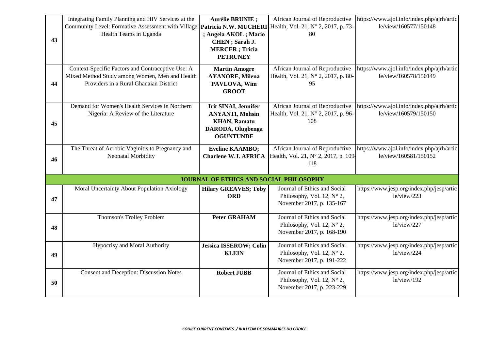| 43 | Integrating Family Planning and HIV Services at the<br>Community Level: Formative Assessment with Village <b>Patricia N.W. MUCHERI</b><br>Health Teams in Uganda | <b>Aurélie BRUNIE ;</b><br>; Angela AKOL ; Mario<br>CHEN; Sarah J.<br><b>MERCER</b> ; Tricia<br><b>PETRUNEY</b>        | African Journal of Reproductive<br>Health, Vol. 21, N° 2, 2017, p. 73-<br>80                     | https://www.ajol.info/index.php/ajrh/artic<br>le/view/160577/150148 |
|----|------------------------------------------------------------------------------------------------------------------------------------------------------------------|------------------------------------------------------------------------------------------------------------------------|--------------------------------------------------------------------------------------------------|---------------------------------------------------------------------|
| 44 | Context-Specific Factors and Contraceptive Use: A<br>Mixed Method Study among Women, Men and Health<br>Providers in a Rural Ghanaian District                    | <b>Martin Amogre</b><br><b>AYANORE, Milena</b><br>PAVLOVA, Wim<br><b>GROOT</b>                                         | African Journal of Reproductive<br>Health, Vol. 21, N° 2, 2017, p. 80-<br>95                     | https://www.ajol.info/index.php/ajrh/artic<br>le/view/160578/150149 |
| 45 | Demand for Women's Health Services in Northern<br>Nigeria: A Review of the Literature                                                                            | <b>Irit SINAI</b> , Jennifer<br><b>ANYANTI, Mohsin</b><br><b>KHAN, Ramatu</b><br>DARODA, Olugbenga<br><b>OGUNTUNDE</b> | African Journal of Reproductive<br>Health, Vol. 21, N° 2, 2017, p. 96-<br>108                    | https://www.ajol.info/index.php/ajrh/artic<br>le/view/160579/150150 |
| 46 | The Threat of Aerobic Vaginitis to Pregnancy and<br>Neonatal Morbidity                                                                                           | <b>Eveline KAAMBO;</b><br><b>Charlene W.J. AFRICA</b>                                                                  | African Journal of Reproductive<br>Health, Vol. 21, N° 2, 2017, p. 109-<br>118                   | https://www.ajol.info/index.php/ajrh/artic<br>le/view/160581/150152 |
|    |                                                                                                                                                                  | <b>JOURNAL OF ETHICS AND SOCIAL PHILOSOPHY</b>                                                                         |                                                                                                  |                                                                     |
| 47 | Moral Uncertainty About Population Axiology                                                                                                                      | <b>Hilary GREAVES; Toby</b><br><b>ORD</b>                                                                              | Journal of Ethics and Social<br>Philosophy, Vol. 12, $N^{\circ}$ 2,<br>November 2017, p. 135-167 | https://www.jesp.org/index.php/jesp/artic<br>le/view/223            |
| 48 | Thomson's Trolley Problem                                                                                                                                        | <b>Peter GRAHAM</b>                                                                                                    | Journal of Ethics and Social<br>Philosophy, Vol. 12, $N^{\circ}$ 2,<br>November 2017, p. 168-190 | https://www.jesp.org/index.php/jesp/artic<br>le/view/227            |
| 49 | Hypocrisy and Moral Authority                                                                                                                                    | <b>Jessica ISSEROW; Colin</b><br><b>KLEIN</b>                                                                          | Journal of Ethics and Social<br>Philosophy, Vol. 12, $N^{\circ}$ 2,<br>November 2017, p. 191-222 | https://www.jesp.org/index.php/jesp/artic<br>le/view/224            |
| 50 | <b>Consent and Deception: Discussion Notes</b>                                                                                                                   | <b>Robert JUBB</b>                                                                                                     | Journal of Ethics and Social<br>Philosophy, Vol. 12, $N^{\circ}$ 2,<br>November 2017, p. 223-229 | https://www.jesp.org/index.php/jesp/artic<br>le/view/192            |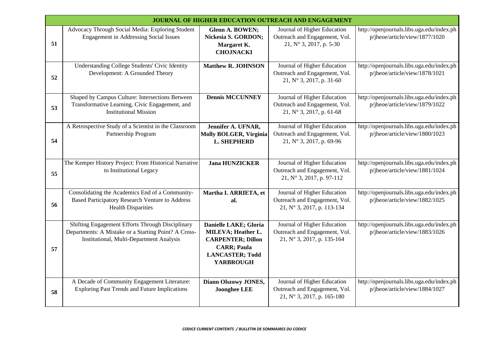|    | JOURNAL OF HIGHER EDUCATION OUTREACH AND ENGAGEMENT                                                                                                         |                                                                                                                                             |                                                                                                   |                                                                             |  |  |
|----|-------------------------------------------------------------------------------------------------------------------------------------------------------------|---------------------------------------------------------------------------------------------------------------------------------------------|---------------------------------------------------------------------------------------------------|-----------------------------------------------------------------------------|--|--|
| 51 | Advocacy Through Social Media: Exploring Student<br><b>Engagement in Addressing Social Issues</b>                                                           | Glenn A. BOWEN;<br>Nickesia S. GORDON;<br>Margaret K.<br><b>CHOJNACKI</b>                                                                   | Journal of Higher Education<br>Outreach and Engagement, Vol.<br>21, N° 3, 2017, p. 5-30           | http://openjournals.libs.uga.edu/index.ph<br>p/jheoe/article/view/1877/1020 |  |  |
| 52 | <b>Understanding College Students' Civic Identity</b><br>Development: A Grounded Theory                                                                     | <b>Matthew R. JOHNSON</b>                                                                                                                   | Journal of Higher Education<br>Outreach and Engagement, Vol.<br>21, $N^{\circ}$ 3, 2017, p. 31-60 | http://openjournals.libs.uga.edu/index.ph<br>p/jheoe/article/view/1878/1021 |  |  |
| 53 | Shaped by Campus Culture: Intersections Between<br>Transformative Learning, Civic Engagement, and<br><b>Institutional Mission</b>                           | <b>Dennis MCCUNNEY</b>                                                                                                                      | Journal of Higher Education<br>Outreach and Engagement, Vol.<br>21, N° 3, 2017, p. 61-68          | http://openjournals.libs.uga.edu/index.ph<br>p/jheoe/article/view/1879/1022 |  |  |
| 54 | A Retrospective Study of a Scientist in the Classroom<br>Partnership Program                                                                                | Jennifer A. UFNAR,<br><b>Molly BOLGER, Virginia</b><br><b>L. SHEPHERD</b>                                                                   | Journal of Higher Education<br>Outreach and Engagement, Vol.<br>21, N° 3, 2017, p. 69-96          | http://openjournals.libs.uga.edu/index.ph<br>p/jheoe/article/view/1880/1023 |  |  |
| 55 | The Kemper History Project: From Historical Narrative<br>to Institutional Legacy                                                                            | <b>Jana HUNZICKER</b>                                                                                                                       | Journal of Higher Education<br>Outreach and Engagement, Vol.<br>21, N° 3, 2017, p. 97-112         | http://openjournals.libs.uga.edu/index.ph<br>p/jheoe/article/view/1881/1024 |  |  |
| 56 | Consolidating the Academics End of a Community-<br><b>Based Participatory Research Venture to Address</b><br><b>Health Disparities</b>                      | Martha I. ARRIETA, et<br>al.                                                                                                                | Journal of Higher Education<br>Outreach and Engagement, Vol.<br>21, N° 3, 2017, p. 113-134        | http://openjournals.libs.uga.edu/index.ph<br>p/jheoe/article/view/1882/1025 |  |  |
| 57 | Shifting Engagement Efforts Through Disciplinary<br>Departments: A Mistake or a Starting Point? A Cross-<br><b>Institutional, Multi-Department Analysis</b> | Danielle LAKE; Gloria<br>MILEVA; Heather L.<br><b>CARPENTER; Dillon</b><br><b>CARR; Paula</b><br><b>LANCASTER; Todd</b><br><b>YARBROUGH</b> | Journal of Higher Education<br>Outreach and Engagement, Vol.<br>21, N° 3, 2017, p. 135-164        | http://openjournals.libs.uga.edu/index.ph<br>p/jheoe/article/view/1883/1026 |  |  |
| 58 | A Decade of Community Engagement Literature:<br><b>Exploring Past Trends and Future Implications</b>                                                        | Diann Olszowy JONES,<br><b>Joonghee LEE</b>                                                                                                 | Journal of Higher Education<br>Outreach and Engagement, Vol.<br>21, N° 3, 2017, p. 165-180        | http://openjournals.libs.uga.edu/index.ph<br>p/jheoe/article/view/1884/1027 |  |  |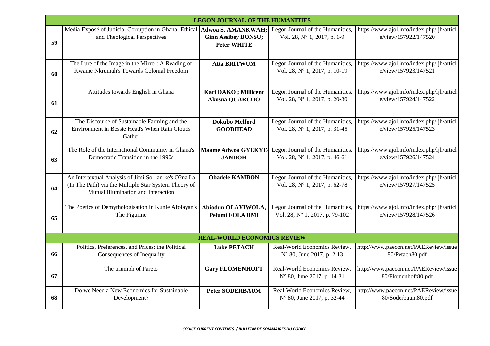|    |                                                                                                                                                     | <b>LEGON JOURNAL OF THE HUMANITIES</b>           |                                                                    |                                                                    |
|----|-----------------------------------------------------------------------------------------------------------------------------------------------------|--------------------------------------------------|--------------------------------------------------------------------|--------------------------------------------------------------------|
| 59 | Media Exposé of Judicial Corruption in Ghana: Ethical Adwoa S. AMANKWAH;<br>and Theological Perspectives                                            | <b>Ginn Assibey BONSU;</b><br><b>Peter WHITE</b> | Legon Journal of the Humanities,<br>Vol. 28, N° 1, 2017, p. 1-9    | https://www.ajol.info/index.php/ljh/articl<br>e/view/157922/147520 |
| 60 | The Lure of the Image in the Mirror: A Reading of<br>Kwame Nkrumah's Towards Colonial Freedom                                                       | <b>Atta BRITWUM</b>                              | Legon Journal of the Humanities,<br>Vol. 28, N° 1, 2017, p. 10-19  | https://www.ajol.info/index.php/ljh/articl<br>e/view/157923/147521 |
| 61 | Attitudes towards English in Ghana                                                                                                                  | Kari DAKO; Millicent<br><b>Akosua QUARCOO</b>    | Legon Journal of the Humanities,<br>Vol. 28, N° 1, 2017, p. 20-30  | https://www.ajol.info/index.php/ljh/articl<br>e/view/157924/147522 |
| 62 | The Discourse of Sustainable Farming and the<br>Environment in Bessie Head's When Rain Clouds<br>Gather                                             | Dokubo Melford<br><b>GOODHEAD</b>                | Legon Journal of the Humanities,<br>Vol. 28, N° 1, 2017, p. 31-45  | https://www.ajol.info/index.php/ljh/articl<br>e/view/157925/147523 |
| 63 | The Role of the International Community in Ghana's<br>Democratic Transition in the 1990s                                                            | <b>Maame Adwoa GYEKYE-</b><br><b>JANDOH</b>      | Legon Journal of the Humanities,<br>Vol. 28, N° 1, 2017, p. 46-61  | https://www.ajol.info/index.php/ljh/articl<br>e/view/157926/147524 |
| 64 | An Intertextual Analysis of Jimi So lan ke's O?na La<br>(In The Path) via the Multiple Star System Theory of<br>Mutual Illumination and Interaction | <b>Obadele KAMBON</b>                            | Legon Journal of the Humanities,<br>Vol. 28, N° 1, 2017, p. 62-78  | https://www.ajol.info/index.php/ljh/articl<br>e/view/157927/147525 |
| 65 | The Poetics of Demythologisation in Kunle Afolayan's<br>The Figurine                                                                                | Abiodun OLAYIWOLA,<br>Pelumi FOLAJIMI            | Legon Journal of the Humanities,<br>Vol. 28, N° 1, 2017, p. 79-102 | https://www.ajol.info/index.php/ljh/articl<br>e/view/157928/147526 |
|    |                                                                                                                                                     | <b>REAL-WORLD ECONOMICS REVIEW</b>               |                                                                    |                                                                    |
| 66 | Politics, Preferences, and Prices: the Political<br>Consequences of Inequality                                                                      | <b>Luke PETACH</b>                               | Real-World Economics Review,<br>N° 80, June 2017, p. 2-13          | http://www.paecon.net/PAEReview/issue<br>80/Petach80.pdf           |
| 67 | The triumph of Pareto                                                                                                                               | <b>Gary FLOMENHOFT</b>                           | Real-World Economics Review,<br>N° 80, June 2017, p. 14-31         | http://www.paecon.net/PAEReview/issue<br>80/Flomenhoft80.pdf       |
| 68 | Do we Need a New Economics for Sustainable<br>Development?                                                                                          | <b>Peter SODERBAUM</b>                           | Real-World Economics Review,<br>N° 80, June 2017, p. 32-44         | http://www.paecon.net/PAEReview/issue<br>80/Soderbaum80.pdf        |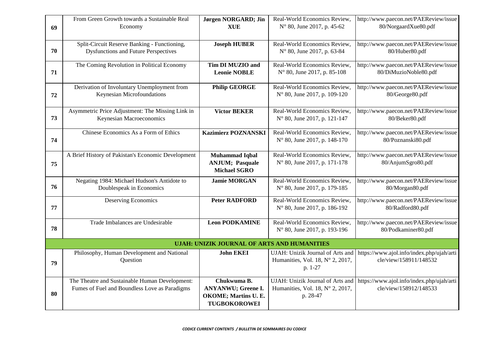| 69 | From Green Growth towards a Sustainable Real<br>Economy                                     | Jørgen NORGARD; Jin<br><b>XUE</b>                  | Real-World Economics Review,<br>N° 80, June 2017, p. 45-62           | http://www.paecon.net/PAEReview/issue<br>80/NorgaardXue80.pdf       |
|----|---------------------------------------------------------------------------------------------|----------------------------------------------------|----------------------------------------------------------------------|---------------------------------------------------------------------|
|    |                                                                                             |                                                    |                                                                      |                                                                     |
| 70 | Split-Circuit Reserve Banking - Functioning,<br><b>Dysfunctions and Future Perspectives</b> | <b>Joseph HUBER</b>                                | Real-World Economics Review,                                         | http://www.paecon.net/PAEReview/issue<br>80/Huber80.pdf             |
|    |                                                                                             |                                                    | N° 80, June 2017, p. 63-84                                           |                                                                     |
| 71 | The Coming Revolution in Political Economy                                                  | Tim DI MUZIO and<br><b>Leonie NOBLE</b>            | Real-World Economics Review,<br>N° 80, June 2017, p. 85-108          | http://www.paecon.net/PAEReview/issue<br>80/DiMuzioNoble80.pdf      |
|    |                                                                                             |                                                    |                                                                      |                                                                     |
| 72 | Derivation of Involuntary Unemployment from<br>Keynesian Microfoundations                   | <b>Philip GEORGE</b>                               | Real-World Economics Review,<br>N° 80, June 2017, p. 109-120         | http://www.paecon.net/PAEReview/issue<br>80/George80.pdf            |
|    |                                                                                             |                                                    |                                                                      |                                                                     |
|    | Asymmetric Price Adjustment: The Missing Link in                                            | <b>Victor BEKER</b>                                | Real-World Economics Review,                                         | http://www.paecon.net/PAEReview/issue                               |
| 73 | Keynesian Macroeconomics                                                                    |                                                    | N° 80, June 2017, p. 121-147                                         | 80/Beker80.pdf                                                      |
|    | Chinese Economics As a Form of Ethics                                                       | <b>Kazimierz POZNANSKI</b>                         | Real-World Economics Review,                                         | http://www.paecon.net/PAEReview/issue                               |
| 74 |                                                                                             |                                                    | N° 80, June 2017, p. 148-170                                         | 80/Poznanski80.pdf                                                  |
|    | A Brief History of Pakistan's Economic Development                                          | <b>Muhammad Iqbal</b>                              | Real-World Economics Review,                                         | http://www.paecon.net/PAEReview/issue                               |
| 75 |                                                                                             | <b>ANJUM</b> ; Pasquale<br><b>Michael SGRO</b>     | N° 80, June 2017, p. 171-178                                         | 80/AnjumSgro80.pdf                                                  |
|    | Negating 1984: Michael Hudson's Antidote to                                                 | <b>Jamie MORGAN</b>                                | Real-World Economics Review,                                         | http://www.paecon.net/PAEReview/issue                               |
| 76 | Doublespeak in Economics                                                                    |                                                    | N° 80, June 2017, p. 179-185                                         | 80/Morgan80.pdf                                                     |
|    | <b>Deserving Economics</b>                                                                  | <b>Peter RADFORD</b>                               | Real-World Economics Review,                                         | http://www.paecon.net/PAEReview/issue                               |
| 77 |                                                                                             |                                                    | N° 80, June 2017, p. 186-192                                         | 80/Radford80.pdf                                                    |
|    | Trade Imbalances are Undesirable                                                            | <b>Leon PODKAMINE</b>                              | Real-World Economics Review,                                         | http://www.paecon.net/PAEReview/issue                               |
| 78 |                                                                                             |                                                    | N° 80, June 2017, p. 193-196                                         | 80/Podkaminer80.pdf                                                 |
|    |                                                                                             | UJAH: UNIZIK JOURNAL OF ARTS AND HUMANITIES        |                                                                      |                                                                     |
|    | Philosophy, Human Development and National<br>Question                                      | <b>John EKEI</b>                                   | UJAH: Unizik Journal of Arts and<br>Humanities, Vol. 18, N° 2, 2017, | https://www.ajol.info/index.php/ujah/arti<br>cle/view/158911/148532 |
| 79 |                                                                                             |                                                    | p. 1-27                                                              |                                                                     |
|    | The Theatre and Sustainable Human Development:                                              | Chukwuma B.                                        | UJAH: Unizik Journal of Arts and                                     | https://www.ajol.info/index.php/ujah/arti                           |
|    | Fumes of Fuel and Boundless Love as Paradigms                                               | <b>ANYANWU; Greene I.</b>                          | Humanities, Vol. 18, Nº 2, 2017,                                     | cle/view/158912/148533                                              |
| 80 |                                                                                             | <b>OKOME; Martins U. E.</b><br><b>TUGBOKOROWEI</b> | p. 28-47                                                             |                                                                     |
|    |                                                                                             |                                                    |                                                                      |                                                                     |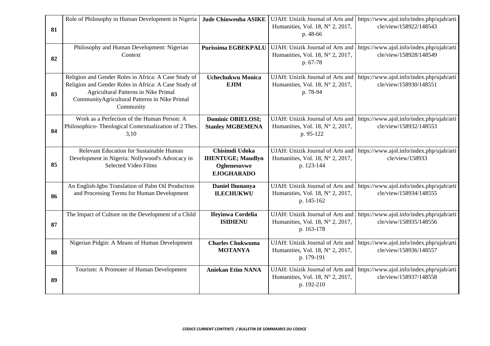| 81 | Role of Philosophy in Human Development in Nigeria                                                                                                                                                                 | <b>Jude Chinweuba ASIKE</b>                                                    | UJAH: Unizik Journal of Arts and<br>Humanities, Vol. 18, N° 2, 2017,<br>p. 48-66   | https://www.ajol.info/index.php/ujah/arti<br>cle/view/158922/148543 |
|----|--------------------------------------------------------------------------------------------------------------------------------------------------------------------------------------------------------------------|--------------------------------------------------------------------------------|------------------------------------------------------------------------------------|---------------------------------------------------------------------|
| 82 | Philosophy and Human Development: Nigerian<br>Context                                                                                                                                                              | Purissima EGBEKPALU                                                            | UJAH: Unizik Journal of Arts and<br>Humanities, Vol. 18, Nº 2, 2017,<br>p. 67-78   | https://www.ajol.info/index.php/ujah/arti<br>cle/view/158928/148549 |
| 83 | Religion and Gender Roles in Africa: A Case Study of<br>Religion and Gender Roles in Africa: A Case Study of<br>Agricultural Patterns in Nike Primal<br>CommunityAgricultural Patterns in Nike Primal<br>Community | Uchechukwu Monica<br><b>EJIM</b>                                               | UJAH: Unizik Journal of Arts and<br>Humanities, Vol. 18, N° 2, 2017,<br>p. 78-94   | https://www.ajol.info/index.php/ujah/arti<br>cle/view/158930/148551 |
| 84 | Work as a Perfection of the Human Person: A<br>Philosophico-Theological Contextualization of 2 Thes.<br>3,10                                                                                                       | <b>Dominic OBIELOSI;</b><br><b>Stanley MGBEMENA</b>                            | UJAH: Unizik Journal of Arts and<br>Humanities, Vol. 18, Nº 2, 2017,<br>p. 95-122  | https://www.ajol.info/index.php/ujah/arti<br>cle/view/158932/148553 |
| 85 | Relevant Education for Sustainable Human<br>Development in Nigeria: Nollywood's Advocacy in<br><b>Selected Video Films</b>                                                                                         | Chisimdi Udoka<br><b>IHENTUGE; Maudlyn</b><br>Oghenesuvwe<br><b>EJOGHARADO</b> | UJAH: Unizik Journal of Arts and<br>Humanities, Vol. 18, Nº 2, 2017,<br>p. 123-144 | https://www.ajol.info/index.php/ujah/arti<br>cle/view/158933        |
| 86 | An English-Igbo Translation of Palm Oil Production<br>and Processing Terms for Human Development                                                                                                                   | <b>Daniel Ihunanya</b><br><b>ILECHUKWU</b>                                     | UJAH: Unizik Journal of Arts and<br>Humanities, Vol. 18, N° 2, 2017,<br>p. 145-162 | https://www.ajol.info/index.php/ujah/arti<br>cle/view/158934/148555 |
| 87 | The Impact of Culture on the Development of a Child                                                                                                                                                                | Ifeyinwa Cordelia<br><b>ISIDIENU</b>                                           | UJAH: Unizik Journal of Arts and<br>Humanities, Vol. 18, Nº 2, 2017,<br>p. 163-178 | https://www.ajol.info/index.php/ujah/arti<br>cle/view/158935/148556 |
| 88 | Nigerian Pidgin: A Means of Human Development                                                                                                                                                                      | <b>Charles Chukwuma</b><br><b>MOTANYA</b>                                      | UJAH: Unizik Journal of Arts and<br>Humanities, Vol. 18, N° 2, 2017,<br>p. 179-191 | https://www.ajol.info/index.php/ujah/arti<br>cle/view/158936/148557 |
| 89 | Tourism: A Promoter of Human Development                                                                                                                                                                           | <b>Aniekan Etim NANA</b>                                                       | UJAH: Unizik Journal of Arts and<br>Humanities, Vol. 18, N° 2, 2017,<br>p. 192-210 | https://www.ajol.info/index.php/ujah/arti<br>cle/view/158937/148558 |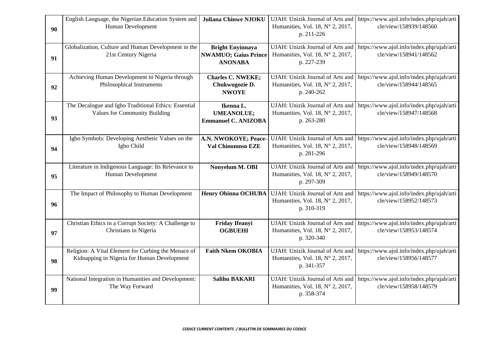| 90 | English Language, the Nigerian Education System and<br>Human Development                           | <b>Juliana Chinwe NJOKU</b>                                              | UJAH: Unizik Journal of Arts and<br>Humanities, Vol. 18, N° 2, 2017,<br>p. 211-226        | https://www.ajol.info/index.php/ujah/arti<br>cle/view/158939/148560 |
|----|----------------------------------------------------------------------------------------------------|--------------------------------------------------------------------------|-------------------------------------------------------------------------------------------|---------------------------------------------------------------------|
| 91 | Globalization, Culture and Human Development in the<br>21st Century Nigeria                        | <b>Bright Enyinnaya</b><br><b>NWAMUO; Gaius Prince</b><br><b>ANONABA</b> | UJAH: Unizik Journal of Arts and<br>Humanities, Vol. 18, N° 2, 2017,<br>p. 227-239        | https://www.ajol.info/index.php/ujah/arti<br>cle/view/158941/148562 |
| 92 | Achieving Human Development in Nigeria through<br>Philosophical Instruments                        | <b>Charles C. NWEKE;</b><br>Chukwugozie D.<br><b>NWOYE</b>               | UJAH: Unizik Journal of Arts and<br>Humanities, Vol. 18, N° 2, 2017,<br>p. 240-262        | https://www.ajol.info/index.php/ujah/arti<br>cle/view/158944/148565 |
| 93 | The Decalogue and Igbo Traditional Ethics: Essential<br><b>Values for Community Building</b>       | Ikenna L.<br><b>UMEANOLUE;</b><br><b>Emmanuel C. ANIZOBA</b>             | UJAH: Unizik Journal of Arts and<br>Humanities, Vol. 18, N° 2, 2017,<br>p. 263-280        | https://www.ajol.info/index.php/ujah/arti<br>cle/view/158947/148568 |
| 94 | Igbo Symbols: Developing Aesthetic Values on the<br>Igbo Child                                     | A.N. NWOKOYE; Peace-<br>Val Chinomnso EZE                                | UJAH: Unizik Journal of Arts and<br>Humanities, Vol. 18, Nº 2, 2017,<br>p. 281-296        | https://www.ajol.info/index.php/ujah/arti<br>cle/view/158948/148569 |
| 95 | Literature in Indigenous Language: Its Relevance to<br>Human Development                           | Nonyelum M. OBI                                                          | UJAH: Unizik Journal of Arts and<br>Humanities, Vol. 18, Nº 2, 2017,<br>p. 297-309        | https://www.ajol.info/index.php/ujah/arti<br>cle/view/158949/148570 |
| 96 | The Impact of Philosophy to Human Development                                                      | <b>Henry Obinna OCHUBA</b>                                               | UJAH: Unizik Journal of Arts and<br>Humanities, Vol. 18, N° 2, 2017,<br>p. 310-319        | https://www.ajol.info/index.php/ujah/arti<br>cle/view/158952/148573 |
| 97 | Christian Ethics in a Corrupt Society: A Challenge to<br>Christians in Nigeria                     | Friday Ifeanyi<br><b>OGBUEHI</b>                                         | <b>UJAH:</b> Unizik Journal of Arts and<br>Humanities, Vol. 18, Nº 2, 2017,<br>p. 320-340 | https://www.ajol.info/index.php/ujah/arti<br>cle/view/158953/148574 |
| 98 | Religion: A Vital Element for Curbing the Menace of<br>Kidnapping in Nigeria for Human Development | <b>Faith Nkem OKOBIA</b>                                                 | UJAH: Unizik Journal of Arts and<br>Humanities, Vol. 18, N° 2, 2017,<br>p. 341-357        | https://www.ajol.info/index.php/ujah/arti<br>cle/view/158956/148577 |
| 99 | National Integration in Humanities and Development:<br>The Way Forward                             | <b>Salihu BAKARI</b>                                                     | UJAH: Unizik Journal of Arts and<br>Humanities, Vol. 18, N° 2, 2017,<br>p. 358-374        | https://www.ajol.info/index.php/ujah/arti<br>cle/view/158958/148579 |